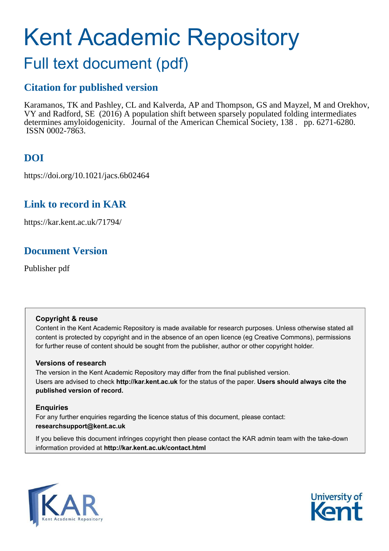# <span id="page-0-0"></span>Kent Academic Repository

## Full text document (pdf)

## **Citation for published version**

Karamanos, TK and Pashley, CL and Kalverda, AP and Thompson, GS and Mayzel, M and Orekhov, VY and Radford, SE (2016) A population shift between sparsely populated folding intermediates determines amyloidogenicity. Journal of the American Chemical Society, 138 . pp. 6271-6280. ISSN 0002-7863.

## **DOI**

https://doi.org/10.1021/jacs.6b02464

## **Link to record in KAR**

https://kar.kent.ac.uk/71794/

## **Document Version**

Publisher pdf

### **Copyright & reuse**

Content in the Kent Academic Repository is made available for research purposes. Unless otherwise stated all content is protected by copyright and in the absence of an open licence (eg Creative Commons), permissions for further reuse of content should be sought from the publisher, author or other copyright holder.

### **Versions of research**

The version in the Kent Academic Repository may differ from the final published version. Users are advised to check **http://kar.kent.ac.uk** for the status of the paper. **Users should always cite the published version of record.**

### **Enquiries**

For any further enquiries regarding the licence status of this document, please contact: **researchsupport@kent.ac.uk**

If you believe this document infringes copyright then please contact the KAR admin team with the take-down information provided at **http://kar.kent.ac.uk/contact.html**



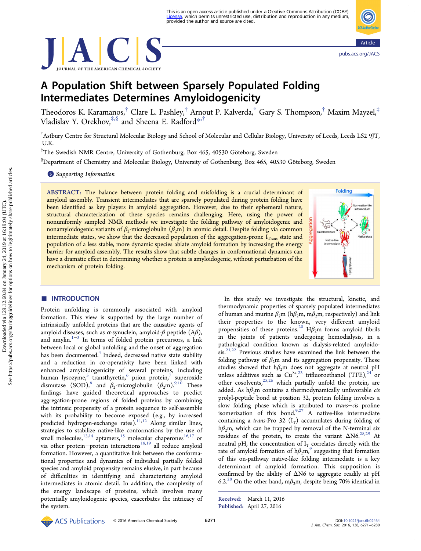<span id="page-1-0"></span>



## A Population Shift between Sparsely Populated Folding Intermediates Determines Amyloidogenicity

Theodoros K. Karamanos, $^\dagger$  Clare L. Pashley, $^\dagger$  Arnout P. Kalverda, $^\dagger$  Gary S. Thompson, $^\dagger$  Maxim Mayzel, $^\ddagger$ Vladislav Y. Orekhov,<sup>[‡](#page-0-0),[§](#page-0-0)</sup> and Sheena E. Radford<sup>[\\*](#page-8-0),[†](#page-0-0)</sup>

† Astbury Centre for Structural Molecular Biology and School of Molecular and Cellular Biology, University of Leeds, Leeds LS2 9JT, U.K.

<sup>‡</sup>The Swedish NMR Centre, University of Gothenburg, Box 465, 40530 Göteborg, Sweden

<sup>§</sup>Department of Chemistry and Molecular Biology, University of Gothenburg, Box 465, 40530 Göteborg, Sweden

**S** [Supporting Information](#page-8-0)

ABSTRACT: The balance between protein folding and misfolding is a crucial determinant of amyloid assembly. Transient intermediates that are sparsely populated during protein folding have been identified as key players in amyloid aggregation. However, due to their ephemeral nature, structural characterization of these species remains challenging. Here, using the power of nonuniformly sampled NMR methods we investigate the folding pathway of amyloidogenic and nonamyloidogenic variants of  $\beta_2$ -microglobulin  $(\beta_2$ m) in atomic detail. Despite folding via common intermediate states, we show that the decreased population of the aggregation-prone  $I_{Trans}$  state and population of a less stable, more dynamic species ablate amyloid formation by increasing the energy barrier for amyloid assembly. The results show that subtle changes in conformational dynamics can have a dramatic effect in determining whether a protein is amyloidogenic, without perturbation of the mechanism of protein folding.



#### **■ INTRODUCTION**

Protein unfolding is commonly associated with amyloid formation. This view is supported by the large number of intrinsically unfolded proteins that are the causative agents of amyloid diseases, such as  $\alpha$ -synuclein, amyloid-β peptide (Aβ), and amylin.<sup>[1](#page-8-0)–[3](#page-8-0)</sup> In terms of folded protein precursors, a link between local or global unfolding and the onset of aggregation has been documented.<sup>[4](#page-8-0)</sup> Indeed, decreased native state stability and a reduction in co-operativity have been linked with enhanced amyloidogenicity of several proteins, including human lysozyme,<sup>[5](#page-8-0)</sup> transthyretin,<sup>[6](#page-8-0)</sup> prion protein,<sup>[7](#page-8-0)</sup> superoxide dismutase (SOD),<sup>[8](#page-8-0)</sup> and  $\beta_2$ -microglobulin ( $\beta_2$ m).<sup>[9,10](#page-8-0)</sup> These findings have guided theoretical approaches to predict aggregation-prone regions of folded proteins by combining the intrinsic propensity of a protein sequence to self-assemble with its probability to become exposed (e.g., by increased predicted hydrogen-exchange rates).<sup>[11,12](#page-8-0)</sup> Along similar lines, strategies to stabilize native-like conformations by the use of small molecules,  $^{13,14}$  $^{13,14}$  $^{13,14}$  $^{13,14}$  $^{13,14}$  aptamers,  $^{15}$  $^{15}$  $^{15}$  molecular chaperones  $^{16,17}$  $^{16,17}$  $^{16,17}$  or via other protein-protein interactions<sup>[18,19](#page-8-0)</sup> all reduce amyloid formation. However, a quantitative link between the conformational properties and dynamics of individual partially folded species and amyloid propensity remains elusive, in part because of difficulties in identifying and characterizing amyloid intermediates in atomic detail. In addition, the complexity of the energy landscape of proteins, which involves many potentially amyloidogenic species, exacerbates the intricacy of the system.

In this study we investigate the structural, kinetic, and thermodynamic properties of sparsely populated intermediates of human and murine  $\beta_2$ m (h $\beta_2$ m, m $\beta_2$ m, respectively) and link their properties to the known, very different amyloid propensities of these proteins.<sup>[20](#page-8-0)</sup> H $\beta_2$ m forms amyloid fibrils in the joints of patients undergoing hemodialysis, in a pathological condition known as dialysis-related amyloido-sis.<sup>[21,22](#page-8-0)</sup> Previous studies have examined the link between the folding pathway of  $\beta_2$ m and its aggregation propensity. These studies showed that  $h\beta_2$ m does not aggregate at neutral pH unless additives such as  $Cu^{2+}$ ,<sup>[23](#page-8-0)</sup> trifluoroethanol (TFE),<sup>[24](#page-9-0)</sup> or , other cosolvents,  $25,26$  which partially unfold the protein, are added. As  $h\beta_2$ m contains a thermodynamically unfavorable cis prolyl-peptide bond at position 32, protein folding involves a slow folding phase which is attributed to trans−cis proline isomerization of this bond. $9,27$  $9,27$  A native-like intermediate containing a *trans*-Pro 32 ( $I_T$ ) accumulates during folding of  $h\beta_2$ m, which can be trapped by removal of the N-terminal six residues of the protein, to create the variant  $\Delta N6^{28,29}$  $\Delta N6^{28,29}$  $\Delta N6^{28,29}$  At neutral pH, the concentration of  $I_T$  correlates directly with the rate of amyloid formation of  $h\beta_2 m$ ,<sup>[9](#page-8-0)</sup> suggesting that formation of this on-pathway native-like folding intermediate is a key determinant of amyloid formation. This supposition is confirmed by the ability of ΔN6 to aggregate readily at pH 6.2.<sup>[28](#page-9-0)</sup> On the other hand, m $\beta_2$ m, despite being 70% identical in

Received: March 11, 2016 Published: April 27, 2016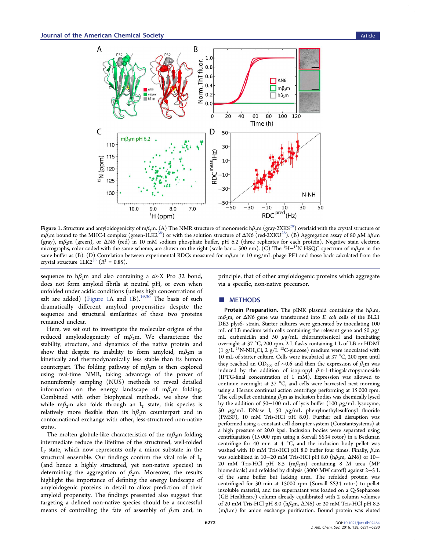<span id="page-2-0"></span>

Figure 1. Structure and amyloidogenicity of m $\beta_2$ m. (A) The NMR structure of monomeric h $\beta_2$ m (gray-2XKS<sup>[28](#page-9-0)</sup>) overlaid with the crystal structure of mβ<sub>2</sub>m bound to the MHC-I complex (green-1LK2<sup>[38](#page-9-0)</sup>) or with the solution structure of ΔN6 (red-2XKU<sup>[28](#page-9-0)</sup>). (B) Aggregation assay of 80 μM hβ<sub>2</sub>m (gray),  $m\beta_2$ m (green), or  $\Delta$ N6 (red) in 10 mM sodium phosphate buffer, pH 6.2 (three replicates for each protein). Negative stain electron micrographs, color-coded with the same scheme, are shown on the right (scale bar = 500 nm). (C) The <sup>1</sup>H–<sup>15</sup>N HSQC spectrum of m $\beta_2$ m in the same buffer as (B). (D) Correlation between experimental RDCs measured for  $m\beta_2m$  in 10 mg/mL phage PF1 and those back-calculated from the crystal structure  $1LK2^{38}$  $1LK2^{38}$  $1LK2^{38}$  ( $R^2 = 0.85$ ).

sequence to  $h\beta_2$ m and also containing a *cis-X* Pro 32 bond, does not form amyloid fibrils at neutral pH, or even when unfolded under acidic conditions (unless high concentrations of salt are added) [\(Figure 1A](#page-1-0) and  $1B$ ).<sup>[19](#page-8-0),[30](#page-9-0)</sup> The basis of such dramatically different amyloid propensities despite the sequence and structural similarities of these two proteins remained unclear.

Here, we set out to investigate the molecular origins of the reduced amyloidogenicity of  $m\beta_2$ m. We characterize the stability, structure, and dynamics of the native protein and show that despite its inability to form amyloid,  $m\beta_2m$  is kinetically and thermodynamically less stable than its human counterpart. The folding pathway of  $m\beta_2$ m is then explored using real-time NMR, taking advantage of the power of nonuniformly sampling (NUS) methods to reveal detailed information on the energy landscape of m $\beta_2$ m folding. Combined with other biophysical methods, we show that while m $\beta_2$ m also folds through an I<sub>T</sub> state, this species is relatively more flexible than its  $h\beta_2$ m counterpart and in conformational exchange with other, less-structured non-native states.

The molten globule-like characteristics of the m $\beta_2$ m folding intermediate reduce the lifetime of the structured, well-folded  $I<sub>T</sub>$  state, which now represents only a minor substate in the structural ensemble. Our findings confirm the vital role of  $I_T$ (and hence a highly structured, yet non-native species) in determining the aggregation of  $\beta_2$ m. Moreover, the results highlight the importance of defining the energy landscape of amyloidogenic proteins in detail to allow prediction of their amyloid propensity. The findings presented also suggest that targeting a defined non-native species should be a successful means of controlling the fate of assembly of  $\beta_2$ m and, in

principle, that of other amyloidogenic proteins which aggregate via a specific, non-native precursor.

#### ■ METHODS

**Protein Preparation.** The pINK plasmid containing the  $h\beta_2$ m, mβ<sub>2</sub>m, or  $ΔN6$  gene was transformed into E. coli cells of the BL21 DE3 plysS- strain. Starter cultures were generated by inoculating 100 mL of LB medium with cells containing the relevant gene and 50  $\mu$ g/ mL carbenicilin and 50  $\mu$ g/mL chloramphenicol and incubating overnight at 37 °C, 200 rpm. 2 L flasks containing 1 L of LB or HDMI  $(1 g/L<sup>15</sup>N-NH<sub>4</sub>Cl, 2 g/L<sup>13</sup>C-glucose)$  medium were inoculated with 10 mL of starter culture. Cells were incubated at 37 °C, 200 rpm until they reached an OD<sub>600</sub> of ~0.6 and then the expression of  $\beta_2$ m was induced by the addition of isopropyl  $\beta$ -D-1-thiogalactopyranoside (IPTG-final concentration of 1 mM). Expression was allowed to continue overnight at 37 °C, and cells were harvested next morning using a Heraus continual action centrifuge performing at 15 000 rpm. The cell pellet containing  $\beta_2$ m as inclusion bodies was chemically lysed by the addition of 50−100 mL of lysis buffer (100 μg/mL lysozyme, 50 μg/mL DNase I, 50 μg/mL phenylmethylesulfonyl fluoride (PMSF), 10 mM Tris-HCl pH 8.0). Further cell disruption was performed using a constant cell disrupter system (Constantsystems) at a high pressure of 20.0 kpsi. Inclusion bodies were separated using centrifugation (15 000 rpm using a Sorvall SS34 rotor) in a Beckman centrifuge for 40 min at 4  $^{\circ}$ C, and the inclusion body pellet was washed with 10 mM Tris-HCl pH 8.0 buffer four times. Finally,  $\beta_2$ m was solubilized in 10−20 mM Tris-HCl pH 8.0 (h $\beta_2$ m,  $\Delta$ N6) or 10− 20 mM Tris-HCl pH 8.5  $(m\beta_2m)$  containing 8 M urea (MP biomedicals) and refolded by dialysis (3000 MW cutoff) against 2−5 L of the same buffer but lacking urea. The refolded protein was centrifuged for 30 min at 15000 rpm (Sorvall SS34 rotor) to pellet insoluble material, and the supernatant was loaded on a Q-Sepharose (GE Healthcare) column already equilibrated with 2 column volumes of 20 mM Tris-HCl pH 8.0 (h $\beta_2$ m,  $\Delta$ N6) or 20 mM Tris-HCl pH 8.5  $(m\beta_2m)$  for anion exchange purification. Bound protein was eluted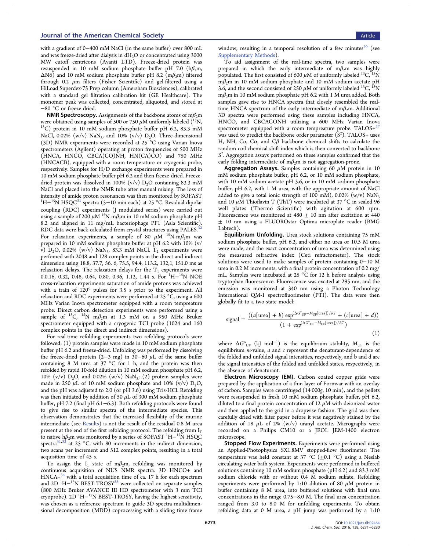#### <span id="page-3-0"></span>Journal of the American Chemical Society Article and The Article Article Article Article Article Article Article

with a gradient of 0−400 mM NaCl (in the same buffer) over 800 mL and was freeze-dried after dialysis in dH<sub>2</sub>O or concentrated using 3000 MW cutoff centricons (Avanti LTD). Freeze-dried protein was resuspended in 10 mM sodium phosphate buffer pH 7.0 (h $\beta_2$ m,  $\Delta$ N6) and 10 mM sodium phosphate buffer pH 8.2 (m $\beta$ <sub>2</sub>m) filtered through 0.2  $\mu$ m filters (Fisher Scientific) and gel-filtered using a HiLoad Superdex-75 Prep column (Amersham Biosciences), calibrated with a standard gel filtration calibration kit (GE Healthcare). The monomer peak was collected, concentrated, aliquoted, and stored at −80 °C or freeze-dried.

**NMR Spectroscopy.** Assignments of the backbone atoms of  $m\beta_2$ m were obtained using samples of 500 or 750  $\mu$ M uniformly labeled (<sup>15</sup>N,  $13C$ ) protein in 10 mM sodium phosphate buffer pH 6.2, 83.3 mM NaCl, 0.02%  $(w/v)$  NaN<sub>3</sub>, and 10%  $(v/v)$  D<sub>2</sub>O. Three-dimensional (3D) NMR experiments were recorded at 25 °C using Varian Inova spectrometers (Agilent) operating at proton frequencies of 500 MHz (HNCA, HNCO, CBCA(CO)NH, HN(CA)CO) and 750 MHz (HNCACB), equipped with a room temperature or cryogenic probe, respectively. Samples for H/D exchange experiments were prepared in 10 mM sodium phosphate buffer pH 6.2 and then freeze-dried. Freezedried protein was dissolved in 100% (v/v)  $D_2O$  containing 83.3 mM NaCl and placed into the NMR tube after manual mixing. The loss of intensity of amide proton resonances was then monitored by SOFAST <sup>1</sup>H−<sup>15</sup>N HSQC<sup>[31](#page-9-0)</sup> spectra (5–10 min each) at 25 °C. Residual dipolar coupling (RDC) experiments (J modulated series) were carried out using a sample of 200  $\mu$ M <sup>15</sup>N-m $\beta_2$ m in 10 mM sodium phosphate pH 8.2 and aligned in 11 mg/mL bacteriophage PF1 (Asla Scientific). RDC data were back-calculated from crystal structures using PALES.<sup>[32](#page-9-0)</sup> For relaxation experiments, a sample of 80  $\mu$ M  $^{15}$ N-m $\beta_2$ m was prepared in 10 mM sodium phosphate buffer at pH 6.2 with 10% (v/ v)  $D_2O$ , 0.02%  $(w/v)$   $NaN_3$ , 83.3 mM NaCl.  $T_2$  experiments were perfomed with 2048 and 128 complex points in the direct and indirect dimension using 18.8, 37.7, 56. 6, 75.5, 94.4, 113.2, 132,1, 151.0 ms as relaxation delays. The relaxation delays for the  $T_1$  experiments were 0.0.16, 0.32, 0.48, 0.64, 0.80, 0.96, 1.12, 1.44 s. For <sup>1</sup>H−<sup>15</sup>N NOE cross-relaxation experiments saturation of amide protons was achieved with a train of 120° pulses for 3.5 s prior to the experiment. All relaxation and RDC experiments were performed at 25 °C, using a 600 MHz Varian Inova spectrometer equipped with a room tempreature probe. Direct carbon detection experiments were performed using a sample of  $^{13}C$ ,  $^{15}N$  m $\beta_2$ m at 1.3 mM on a 950 MHz Bruker spectrometer equipped with a cryogenic TCI probe (1024 and 160 complex points in the direct and indirect dimensions).

For real-time refolding experiments two refolding protocols were followed: (1) protein samples were made in 10 mM sodium phosphate buffer pH 6.2 and freeze-dried. Unfolding was performed by dissolving the freeze-dried protein (2−3 mg) in 30−60 μL of the same buffer containing 8 M urea at 37 °C for 1 h, and the protein was then refolded by rapid 10-fold dilution in 10 mM sodium phosphate pH 6.2, 10%  $(v/v)$  D<sub>2</sub>O, and 0.02%  $(w/v)$  NaN<sub>3</sub>; (2) protein samples were made in 250  $\mu$ L of 10 mM sodium phosphate and 10% (v/v) D<sub>2</sub>O, and the pH was adjusted to 2.0 (or pH 3.6) using Tris-HCl. Refolding was then initiated by addition of 50  $\mu$ L of 300 mM sodium phosphate buffer, pH 7.2 (final pH 6.1−6.3). Both refolding protocols were found to give rise to similar spectra of the intermediate species. This observation demonstrates that the increased flexibility of the murine intermediate (see Results) is not the result of the residual 0.8 M urea present at the end of the first refolding protocol. The refolding from  $I_T$ to native  $h\beta_2$ m was monitored by a series of SOFAST  $\mathrm{^{1}H-^{15}N}$  HSQC spectra $31,33$  at 25 °C, with 80 increments in the indirect dimension, two scans per increment and 512 complex points, resulting in a total acquisition time of 45 s.

To assign the  $I_1$  state of m $\beta_2$ m, refolding was monitored by continuous acquisition of NUS NMR spectra. 3D HNCO+ and  $HNCA+^{34}$  $HNCA+^{34}$  $HNCA+^{34}$  with a total acquisition time of ca. 17 h for each spectrum and 2D <sup>1</sup>H−<sup>15</sup>N BEST-TROSY<sup>[35](#page-9-0)</sup> were collected on separate samples (800 MHz Bruker AVANCE III HD spectrometer with 3 mm TCI cryoprobe). 2D <sup>1</sup>H−<sup>15</sup>N BEST-TROSY, having the highest sensitivity, was chosen as a reference spectrum to guide 3D spectra multidimensional decomposition (MDD) coprocessing with a sliding time frame

window, resulting in a temporal resolution of a few minutes $36$  (see [Supplementary Methods\)](http://pubs.acs.org/doi/suppl/10.1021/jacs.6b02464/suppl_file/ja6b02464_si_001.pdf).

To aid assignment of the real-time spectra, two samples were prepared in which the early intermediate of  $m\beta_2$ m was highly populated. The first consisted of 600  $\mu$ M of uniformly labeled <sup>13</sup>C, <sup>15</sup>N  $m\hat{\beta}_2$ m in 10 mM sodium phosphate and 10 mM sodium acetate pH<br>3.6 and the second consisted of 250 *uM* of uniformly labeled <sup>13</sup>C. <sup>15</sup>N 3.6, and the second consisted of 250  $\mu$ M of uniformly labeled <sup>13</sup>C, m $\beta_2$ m in 10 mM sodium phosphate pH 6.2 with 1 M urea added. Both samples gave rise to HNCA spectra that closely resembled the realtime HNCA spectrum of the early intermediate of m $\beta_2$ m. Additional 3D spectra were performed using these samples including HNCA, HNCO, and CBCACONH utilizing a 600 MHz Varian Inova spectrometer equipped with a room tempreature probe.  $TALOS+37$  $TALOS+37$ was used to predict the backbone order parameter  $(S^2)$ . TALOS+ uses H, NH, Co, C $\alpha$ , and C $\beta$  backbone chemical shifts to calculate the random coil chemical shift index which is then converted to backbone S<sup>2</sup>. Aggregation assays performed on these samples confirmed that the early folding intermediate of  $m\beta_2$ m is not aggregation-prone.

Aggregation Assays. Samples containing 60  $\mu$ M protein in 10 mM sodium phosphate buffer, pH 6.2, or 10 mM sodium phosphate, with 10 mM sodium acetate pH 3.6, or in 10 mM sodium phosphate buffer, pH 6.2, with 1 M urea, with the appropriate amount of NaCl added to give a total ionic strength of 100 mM), 0.02% (w/v)  $\text{NaN}_3$ and 10  $\mu$ M Thioflavin T (ThT) were incubated at 37 °C in sealed 96 well plates (Thermo Scientific) with agitation at 600 rpm. Fluorescence was monitored at  $480 \pm 10$  nm after excitation at  $440$ ± 10 nm using a FLUOROstar Optima microplate reader (BMG Labtech).

Equilibrium Unfolding. Urea stock solutions containing 75 mM sodium phosphate buffer, pH 6.2, and either no urea or 10.5 M urea were made, and the exact concentration of urea was determined using the measured refractive index (Ceti refractometer). The stock solutions were used to make samples of protein containing 0−10 M urea in 0.2 M increments, with a final protein concentration of 0.2 mg/ mL. Samples were incubated at 25 °C for 12 h before analysis using tryptophan fluorescence. Fluorescence was excited at 295 nm, and the emission was monitored at 340 nm using a Photon Technology International QM-1 spectrofluorimeter (PTI). The data were then globally fit to a two-state model:

$$
signal = \frac{((a[urea] + b) \exp^{\Delta G^{\circ}_{\text{UF}} - M_{\text{UF}}[urea])/RT} + (c[urea] + d))}{(1 + \exp^{\Delta G^{\circ}_{\text{UF}} - M_{\text{UF}}[urea])/RT})}
$$
\n(1)

where  $\Delta G^{\circ}_{\text{UF}}$  (kJ mol<sup>-1</sup>) is the equilibrium stability,  $M_{\text{UF}}$  is the equilibrium  $m$ -value,  $a$  and  $c$  represent the denaturant-dependence of the folded and unfolded signal intensities, respectively, and b and d are the signal intensities of the folded and unfolded states, respectively, in the absence of denaturant.

Electron Microscopy (EM). Carbon coated copper grids were prepared by the application of a thin layer of Formvar with an overlay of carbon. Samples were centrifuged (14 000g, 10 min), and the pellets were resuspended in fresh 10 mM sodium phosphate buffer, pH 6.2, diluted to a final protein concentration of 12  $\mu$ M with deionized water and then applied to the grid in a dropwise fashion. The grid was then carefully dried with filter paper before it was negatively stained by the addition of 18  $\mu$ L of 2% (w/v) uranyl acetate. Micrographs were recorded on a Philips CM10 or a JEOL JEM-1400 electron microscope.

Stopped Flow Experiments. Experiments were performed using an Applied-Photophysics SX1.8MV stopped-flow fluorimeter. The temperature was held constant at 37 °C ( $\pm$ 0.1 °C) using a Neslab circulating water bath system. Experiments were performed in buffered solutions containing 10 mM sodium phosphate (pH 6.2) and 83.3 mM sodium chloride with or without 0.4 M sodium sulfate. Refolding experiments were performed by 1:10 dilution of 80  $\mu$ M protein in buffer containing 8 M urea, into buffered solutions with final urea concentrations in the range 0.75−8.0 M. The final urea concentration ranged from 3.0 to 8.0 M for unfolding experiments. To obtain refolding data at 0 M urea, a pH jump was performed by a 1:10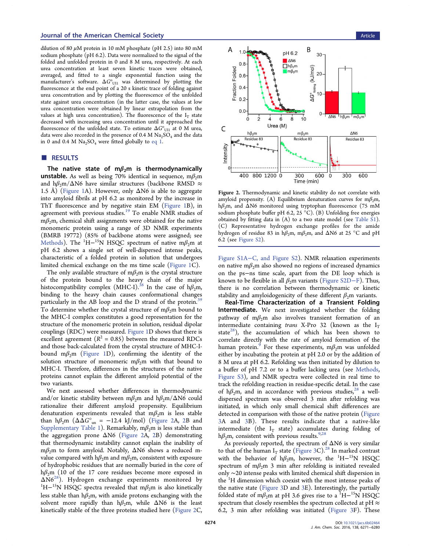<span id="page-4-0"></span>dilution of 80  $\mu$ M protein in 10 mM phosphate (pH 2.5) into 80 mM sodium phosphate (pH 6.2). Data were normalized to the signal of the folded and unfolded protein in 0 and 8 M urea, respectively. At each urea concentration at least seven kinetic traces were obtained, averaged, and fitted to a single exponential function using the manufacturer's software.  $\Delta G_{\text{UI}}^{\circ}$  was determined by plotting the fluorescence at the end point of a 20 s kinetic trace of folding against urea concentration and by plotting the fluorescence of the unfolded state against urea concentration (in the latter case, the values at low urea concentration were obtained by linear extrapolation from the values at high urea concentration). The fluorescence of the  $I_T$  state decreased with increasing urea concentration until it approached the fluorescence of the unfolded state. To estimate  $\Delta G_{\text{U11}}^{\circ}$  at 0 M urea, data were also recorded in the presence of  $0.4$  M  $Na<sub>2</sub>SO<sub>4</sub>$  and the data in 0 and 0.4 M  $Na<sub>2</sub>SO<sub>4</sub>$  were fitted globally to [eq 1.](#page-2-0)

#### ■ RESULTS

The native state of m $\beta_2$ m is thermodynamically **unstable.** As well as being 70% identical in sequence,  $m\beta_2m$ and h $\beta_2$ m/ $\Delta$ N6 have similar structures (backbone RMSD  $\approx$ 1.5 Å) [\(Figure 1A](#page-1-0)). However, only  $\Delta N6$  is able to aggregate into amyloid fibrils at pH 6.2 as monitored by the increase in ThT fluorescence and by negative stain EM [\(Figure 1](#page-1-0)B), in agreement with previous studies.<sup>[19](#page-8-0)</sup> To enable NMR studies of  $m\beta_2$ m, chemical shift assignments were obtained for the native monomeric protein using a range of 3D NMR experiments (BMRB 19772) (85% of backbone atoms were assigned; see [Methods](#page-1-0)). The  ${}^{1}H-{}^{15}N$  HSQC spectrum of native m $\beta_{2}$ m at pH 6.2 shows a single set of well-dispersed intense peaks, characteristic of a folded protein in solution that undergoes limited chemical exchange on the ms time scale [\(Figure 1C](#page-1-0)).

The only available structure of m $\beta_2$ m is the crystal structure of the protein bound to the heavy chain of the major histocompatibility complex (MHC-I).<sup>[38](#page-9-0)</sup> In the case of  $h\beta_2 m$ , binding to the heavy chain causes conformational changes particularly in the AB loop and the  $D$  strand of the protein.<sup>[39](#page-9-0)</sup> To determine whether the crystal structure of m $\beta_2$ m bound to the MHC-I complex constitutes a good representation for the structure of the monomeric protein in solution, residual dipolar couplings (RDC) were measured. [Figure 1D](#page-1-0) shows that there is excellent agreement ( $R^2 = 0.85$ ) between the measured RDCs and those back-calculated from the crystal structure of MHC-Ibound m $\beta_2$ m [\(Figure 1D](#page-1-0)), confirming the identity of the solution structure of monomeric m $\beta_2$ m with that bound to MHC-I. Therefore, differences in the structures of the native proteins cannot explain the different amyloid potential of the two variants.

We next assessed whether differences in thermodynamic and/or kinetic stability between m $\beta_2$ m and h $\beta_2$ m/ $\Delta N6$  could rationalize their different amyloid propensity. Equilibrium denaturation experiments revealed that  $m\beta_2$ m is less stable than h $\beta_2$  $\beta_2$ m ( $\Delta\Delta G^{\circ}$ <sub>un</sub> = -12.4 kJ/mol) ([Figure 2A](#page-3-0), 2B and [Supplementary Table 1\)](http://pubs.acs.org/doi/suppl/10.1021/jacs.6b02464/suppl_file/ja6b02464_si_001.pdf). Remarkably,  $m\beta_2m$  is less stable than the aggregation prone  $\Delta N6$  [\(Figure 2A](#page-3-0), [2](#page-3-0)B) demonstrating that thermodynamic instability cannot explain the inability of mβ<sub>2</sub>m to form amyloid. Notably,  $ΔN6$  shows a reduced mvalue compared with h $\beta_2$ m and m $\beta_2$ m, consistent with exposure of hydrophobic residues that are normally buried in the core of h $\beta_2$ m (10 of the 17 core residues become more exposed in  $\Delta N6^{28}$  $\Delta N6^{28}$  $\Delta N6^{28}$ ). Hydrogen exchange experiments monitored by  $1H-15N$  HSQC spectra revealed that m $\beta_2$ m is also kinetically less stable than  $h\beta_2$ m, with amide protons exchanging with the solvent more rapidly than  $h\beta_2$ m, while  $\Delta N6$  is the least kinetically stable of the three proteins studied here [\(Figure 2C](#page-3-0),



Figure 2. Thermodynamic and kinetic stability do not correlate with amyloid propensity. (A) Equilibrium denaturation curves for m $\beta_2$ m, hβ<sub>2</sub>m, and ΔN6 monitored using tryptophan fluorescence (75 mM sodium phosphate buffer pH 6.2, 25 °C). (B) Unfolding free energies obtained by fitting data in (A) to a two state model (see [Table S1](http://pubs.acs.org/doi/suppl/10.1021/jacs.6b02464/suppl_file/ja6b02464_si_001.pdf)). (C) Representative hydrogen exchange profiles for the amide hydrogen of residue 83 in h $\beta_2$ m, m $\beta_2$ m, and  $\Delta N6$  at 25 °C and pH 6.2 (see [Figure S2](http://pubs.acs.org/doi/suppl/10.1021/jacs.6b02464/suppl_file/ja6b02464_si_001.pdf)).

Figure S1A−[C, and Figure S2\)](http://pubs.acs.org/doi/suppl/10.1021/jacs.6b02464/suppl_file/ja6b02464_si_001.pdf). NMR relaxation experiments on native m $\beta_2$ m also showed no regions of increased dynamics on the ps−ns time scale, apart from the DE loop which is known to be flexible in all  $\beta_2$ m variants ([Figure S2D](http://pubs.acs.org/doi/suppl/10.1021/jacs.6b02464/suppl_file/ja6b02464_si_001.pdf)−F). Thus, there is no correlation between thermodynamic or kinetic stability and amyloidogenicity of these different  $\beta_2$ m variants.

Real-Time Characterization of a Transient Folding Intermediate. We next investigated whether the folding pathway of m $\beta_2$ m also involves transient formation of an intermediate containing trans X-Pro 32 (known as the  $I_T$ state $^{28}$  $^{28}$  $^{28}$ ), the accumulation of which has been shown to correlate directly with the rate of amyloid formation of the human protein.<sup>[9](#page-8-0)</sup> For these experiments, m $\beta_2$ m was unfolded either by incubating the protein at pH 2.0 or by the addition of 8 M urea at pH 6.2. Refolding was then initiated by dilution to a buffer of pH 7.2 or to a buffer lacking urea (see [Methods,](#page-1-0) [Figure S3](http://pubs.acs.org/doi/suppl/10.1021/jacs.6b02464/suppl_file/ja6b02464_si_001.pdf)), and NMR spectra were collected in real time to track the refolding reaction in residue-specific detail. In the case of  $h\beta_2$ m, and in accordance with previous studies,<sup>[28](#page-9-0)</sup> a welldispersed spectrum was observed 3 min after refolding was initiated, in which only small chemical shift differences are detected in comparison with those of the native protein (Figure 3A and 3B). These results indicate that a native-like intermediate (the  $I_T$  state) accumulates during folding of h $\beta_2$ m, consistent with previous results.<sup>[9](#page-8-0),[28](#page-9-0)</sup>

As previously reported, the spectrum of  $\Delta N6$  is very similar to that of the human  $I_T$  state (Figure 3C).<sup>[28](#page-9-0)</sup> In marked contrast with the behavior of  $h\beta_2$ m, however, the <sup>1</sup>H<sup>-15</sup>N HSQC spectrum of  $m\beta_2$ m 3 min after refolding is initiated revealed only ∼20 intense peaks with limited chemical shift dispersion in the <sup>1</sup>H dimension which coexist with the most intense peaks of the native state (Figure 3D and 3E). Interestingly, the partially folded state of m $\beta_2$ m at pH 3.6 gives rise to a  $\overline{H}$ -<sup>15</sup>N HSQC spectrum that closely resembles the spectrum collected at pH  $\approx$ 6.2, 3 min after refolding was initiated (Figure 3F). These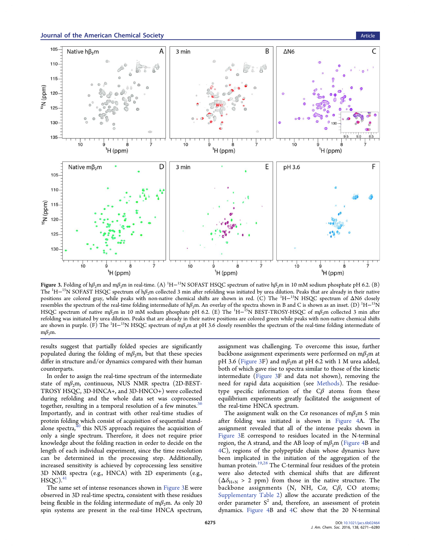<span id="page-5-0"></span>

Figure 3. Folding of h $\beta_2$ m and m $\beta_2$ m in real-time. (A) <sup>1</sup>H−<sup>15</sup>N SOFAST HSQC spectrum of native h $\beta_2$ m in 10 mM sodium phosphate pH 6.2. (B) The <sup>1</sup>H−<sup>15</sup>N SOFAST HSQC spectrum of h $\beta_2$ m collected 3 min after refolding was initiated by urea dilution. Peaks that are already in their native positions are colored gray, while peaks with non-native chemical shifts are shown in red. (C) The <sup>1</sup>H−<sup>15</sup>N HSQC spectrum of ΔN6 closely resembles the spectrum of the real-time folding intermediate of h $\beta_2$ m. An overlay of the spectra shown in B and C is shown as an inset. (D)  $^1\mathrm{H}-^{15}\mathrm{N}$ HSQC spectrum of native m $\beta_2$ m in 10 mM sodium phosphate pH 6.2. (E) The <sup>1</sup>H−<sup>15</sup>N BEST-TROSY-HSQC of m $\beta_2$ m collected 3 min after refolding was initiated by urea dilution. Peaks that are already in their native positions are colored green while peaks with non-native chemical shifts are shown in purple. (F) The  $^1\mathrm{H}-^{15}\mathrm{N}$  HSQC spectrum of m $\beta_2$ m at pH 3.6 closely resembles the spectrum of the real-time folding intermediate of  $m\beta_2$ m.

results suggest that partially folded species are significantly populated during the folding of  $m\beta_2$ m, but that these species differ in structure and/or dynamics compared with their human counterparts.

In order to assign the real-time spectrum of the intermediate state of m $\beta_2$ m, continuous, NUS NMR spectra (2D-BEST-TROSY HSQC, 3D-HNCA+, and 3D-HNCO+) were collected during refolding and the whole data set was coprocessed together, resulting in a temporal resolution of a few minutes. $36$ Importantly, and in contrast with other real-time studies of protein folding which consist of acquisition of sequential standalone spectra, $40$  this NUS approach requires the acquisition of only a single spectrum. Therefore, it does not require prior knowledge about the folding reaction in order to decide on the length of each individual experiment, since the time resolution can be determined in the processing step. Additionally, increased sensitivity is achieved by coprocessing less sensitive 3D NMR spectra (e.g., HNCA) with 2D experiments (e.g.,  $HSQC$ ). $41$ 

The same set of intense resonances shown in [Figure 3](#page-4-0)E were observed in 3D real-time spectra, consistent with these residues being flexible in the folding intermediate of m $\beta_2$ m. As only 20 spin systems are present in the real-time HNCA spectrum,

assignment was challenging. To overcome this issue, further backbone assignment experiments were performed on  $m\beta_2$ m at pH 3.6 ([Figure 3](#page-4-0)F) and m $\beta_2$ m at pH 6.2 with 1 M urea added, both of which gave rise to spectra similar to those of the kinetic intermediate [\(Figure 3](#page-4-0)F and data not shown), removing the need for rapid data acquisition (see [Methods\)](#page-1-0). The residuetype specific information of the  $C\beta$  atoms from these equilibrium experiments greatly facilitated the assignment of the real-time HNCA spectrum.

The assignment walk on the C $\alpha$  resonances of m $\beta_2$ m 5 min after folding was initiated is shown in Figure 4A. The assignment revealed that all of the intense peaks shown in [Figure 3E](#page-4-0) correspond to residues located in the N-terminal region, the A strand, and the AB loop of  $m\beta_2$ m (Figure 4B and 4C), regions of the polypeptide chain whose dynamics have been implicated in the initiation of the aggregation of the human protein.<sup>[19](#page-8-0),[28](#page-9-0)</sup> The C-terminal four residues of the protein were also detected with chemical shifts that are different  $(\Delta \delta_{H+N} > 2$  ppm) from those in the native structure. The backbone assignments (N, NH, C $\alpha$ , C $\beta$ , CO atoms; [Supplementary Table 2\)](http://pubs.acs.org/doi/suppl/10.1021/jacs.6b02464/suppl_file/ja6b02464_si_001.pdf) allow the accurate prediction of the order parameter  $S^2$  and, therefore, an assessment of protein dynamics. Figure 4B and 4C show that the 20 N-terminal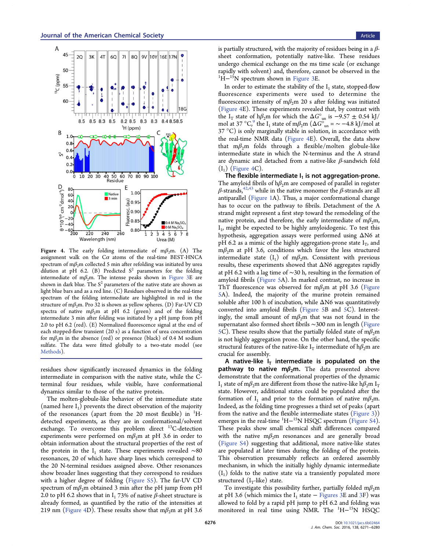<span id="page-6-0"></span>

Figure 4. The early folding intermediate of m $\beta_2$ m. (A) The assignment walk on the  $Ca$  atoms of the real-time BEST-HNCA spectrum of m $\beta_2$ m collected 5 min after refolding was initiated by urea dilution at pH 6.2. (B) Predicted  $S^2$  parameters for the folding intermediate of m $\beta_2$ m. The intense peaks shown in [Figure 3](#page-4-0)E are shown in dark blue. The  $S^2$  parameters of the native state are shown as light blue bars and as a red line. (C) Residues observed in the real-time spectrum of the folding intermediate are highlighted in red in the structure of m $\beta_2$ m. Pro 32 is shown as yellow spheres. (D) Far-UV CD spectra of native m $\beta_2$ m at pH 6.2 (green) and of the folding intermediate 3 min after folding was initiated by a pH jump from pH 2.0 to pH 6.2 (red). (E) Normalized fluorescence signal at the end of each stopped-flow transient (20 s) as a function of urea concentration for m $\beta_2$ m in the absence (red) or presence (black) of 0.4 M sodium sulfate. The data were fitted globally to a two-state model (see [Methods\)](#page-1-0).

residues show significantly increased dynamics in the folding intermediate in comparison with the native state, while the Cterminal four residues, while visible, have conformational dynamics similar to those of the native protein.

The molten-globule-like behavior of the intermediate state (named here  $I_1$ ) prevents the direct observation of the majority of the resonances (apart from the 20 most flexible) in  $H$ detected experiments, as they are in conformational/solvent exchange. To overcome this problem direct  $^{13}$ C-detection experiments were performed on  $m\beta_2$ m at pH 3.6 in order to obtain information about the structural properties of the rest of the protein in the  $I_1$  state. These experiments revealed ~80 resonances, 20 of which have sharp lines which correspond to the 20 N-terminal residues assigned above. Other resonances show broader lines suggesting that they correspond to residues with a higher degree of folding ([Figure S5](http://pubs.acs.org/doi/suppl/10.1021/jacs.6b02464/suppl_file/ja6b02464_si_001.pdf)). The far-UV CD spectrum of m $\beta_2$ m obtained 3 min after the pH jump from pH 2.0 to pH 6.2 shows that in I<sub>1</sub> 73% of native  $\beta$ -sheet structure is already formed, as quantified by the ratio of the intensities at 219 nm ([Figure 4D](#page-5-0)). These results show that m $\beta_2$ m at pH 3.6

is partially structured, with the majority of residues being in a  $\beta$ sheet conformation, potentially native-like. These residues undergo chemical exchange on the ms time scale (or exchange rapidly with solvent) and, therefore, cannot be observed in the  ${}^{1}\text{H}-{}^{15}\text{N}$  spectrum shown in [Figure 3E](#page-4-0).

In order to estimate the stability of the  $I_1$  state, stopped-flow fluorescence experiments were used to determine the fluorescence intensity of m $\beta_2$ m 20 s after folding was initiated [\(Figure 4](#page-5-0)E). These experiments revealed that, by contrast with the I<sub>T</sub> state of h $\beta_2$ m for which the  $\Delta G^{\circ}$ <sub>un</sub> is −9.57 ± 0.54 kJ/ mol at 37 °C,<sup>[9](#page-8-0)</sup> the I<sub>1</sub> state of m $\beta_2$ m ( $\Delta G^{\circ}_{un} = \sim -4.8 \text{ kJ/mol}$  at  $37 \text{ °C}$ ) is only marginally stable in solution, in accordance with the real-time NMR data [\(Figure 4](#page-5-0)E). Overall, the data show that m $\beta_2$ m folds through a flexible/molten globule-like intermediate state in which the N-terminus and the A strand are dynamic and detached from a native-like  $\beta$ -sandwich fold  $(I_1)$  ([Figure 4](#page-5-0)C).

The flexible intermediate  $I_1$  is not aggregation-prone. The amyloid fibrils of  $h\beta_2$ m are composed of parallel in register  $\beta$ -strands,<sup>[42](#page-9-0),[43](#page-9-0)</sup> while in the native monomer the  $\beta$ -strands are all antiparallel ([Figure 1](#page-1-0)A). Thus, a major conformational change has to occur on the pathway to fibrils. Detachment of the A strand might represent a first step toward the remodeling of the native protein, and therefore, the early intermediate of m $\beta_2$ m, I1 , might be expected to be highly amyloidogenic. To test this hypothesis, aggregation assays were performed using ΔN6 at pH 6.2 as a mimic of the highly aggregation-prone state  $I_T$ , and  $m\beta_2$ m at pH 3.6, conditions which favor the less structured intermediate state  $(I_1)$  of m $\beta_2$ m. Consistent with previous results, these experiments showed that ΔN6 aggregates rapidly at pH 6.2 with a lag time of ∼30 h, resulting in the formation of amyloid fibrils (Figure 5A). In marked contrast, no increase in ThT fluorescence was observed for m $\beta_2$ m at pH 3.6 (Figure 5A). Indeed, the majority of the murine protein remained soluble after 100 h of incubation, while  $\Delta N6$  was quantitatively converted into amyloid fibrils (Figure 5B and 5C). Interestingly, the small amount of m $\beta_2$ m that was not found in the supernatant also formed short fibrils ∼300 nm in length (Figure 5C). These results show that the partially folded state of  $m\beta_2m$ is not highly aggregation prone. On the other hand, the specific structural features of the native-like I<sub>T</sub> intermediate of  $h\beta_2m$  are crucial for assembly.

A native-like  $I_T$  intermediate is populated on the pathway to native m $\beta_2$ m. The data presented above demonstrate that the conformational properties of the dynamic  $I_1$  state of m $\beta_2$ m are different from those the native-like h $\beta_2$ m  $I_T$ state. However, additional states could be populated after the formation of  $I_1$  and prior to the formation of native m $\beta_2$ m. Indeed, as the folding time progresses a third set of peaks (apart from the native and the flexible intermediate states ([Figure 3\)](#page-4-0)) emerges in the real-time <sup>1</sup>H<sup>-15</sup>N HSQC spectrum [\(Figure S4\)](http://pubs.acs.org/doi/suppl/10.1021/jacs.6b02464/suppl_file/ja6b02464_si_001.pdf). These peaks show small chemical shift differences compared with the native m $\beta_2$ m resonances and are generally broad [\(Figure S4\)](http://pubs.acs.org/doi/suppl/10.1021/jacs.6b02464/suppl_file/ja6b02464_si_001.pdf) suggesting that additional, more native-like states are populated at later times during the folding of the protein. This observation presumably reflects an ordered assembly mechanism, in which the initially highly dynamic intermediate  $(I_1)$  folds to the native state via a transiently populated more structured  $(I_T$ -like) state.

To investigate this possibility further, partially folded m $\beta_2$ m at pH 3.6 (which mimics the  $I_1$  state  $-$  [Figures 3](#page-4-0)E and [3F](#page-4-0)) was allowed to fold by a rapid pH jump to pH 6.2 and folding was monitored in real time using NMR. The <sup>1</sup>H−<sup>15</sup>N HSQC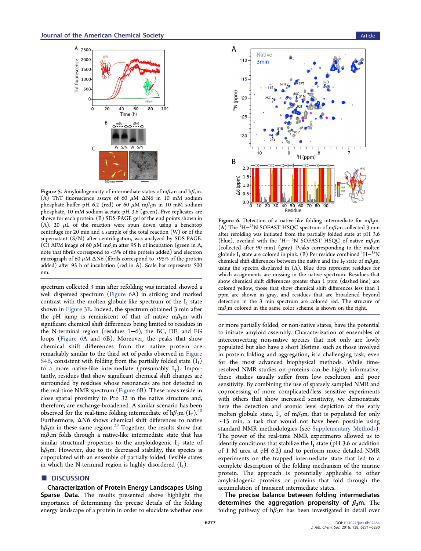<span id="page-7-0"></span>

Figure 5. Amyloidogenicity of intermediate states of m $\beta_2$ m and h $\beta_2$ m. (A) ThT fluorescence assays of 60  $\mu$ M  $\Delta$ N6 in 10 mM sodium phosphate buffer pH 6.2 (red) or 60  $\mu$ M m $\beta_2$ m in 10 mM sodium phosphate, 10 mM sodium acetate pH 3.6 (green). Five replicates are shown for each protein. (B) SDS-PAGE gel of the end points shown in (A). 20  $\mu$ L of the reaction were spun down using a benchtop centrifuge for 20 min and a sample of the total reaction (W) or of the supernatant (S/N) after centrifugation, was analyzed by SDS-PAGE. (C) AFM image of 60  $\mu$ M m $\beta_2$ m after 95 h of incubation (green in A, note that fibrils correspond to <5% of the protein added) and electron micrograph of 60  $\mu$ M  $\Delta$ N6 (fibrils correspond to >95% of the protein added) after 95 h of incubation (red in A). Scale bar represents 500 nm.

spectrum collected 3 min after refolding was initiated showed a well dispersed spectrum ([Figure 6A](#page-6-0)) in striking and marked contrast with the molten globule-like spectrum of the  $I_1$  state shown in [Figure 3](#page-4-0)E. Indeed, the spectrum obtained 3 min after the pH jump is reminiscent of that of native  $m\beta_2m$  with significant chemical shift differences being limited to residues in the N-terminal region (residues 1−6), the BC, DE, and FG loops ([Figure 6A](#page-6-0) and [6B](#page-6-0)). Moreover, the peaks that show chemical shift differences from the native protein are remarkably similar to the third set of peaks observed in [Figure](http://pubs.acs.org/doi/suppl/10.1021/jacs.6b02464/suppl_file/ja6b02464_si_001.pdf) [S4B,](http://pubs.acs.org/doi/suppl/10.1021/jacs.6b02464/suppl_file/ja6b02464_si_001.pdf) consistent with folding from the partially folded state  $(I_1)$ to a more native-like intermediate (presumably  $I_T$ ). Importantly, residues that show significant chemical shift changes are surrounded by residues whose resonances are not detected in the real-time NMR spectrum [\(Figure 6B](#page-6-0)). These areas reside in close spatial proximity to Pro 32 in the native structure and, therefore, are exchange-broadened. A similar scenario has been observed for the real-time folding intermediate of  $h\beta_2m (I_T)$ .<sup>[40](#page-9-0)</sup> Furthermore, ΔN6 shows chemical shift differences to native  $h\beta_2$ m in these same regions.<sup>[28](#page-9-0)</sup> Together, the results show that  $m\beta_2$ m folds through a native-like intermediate state that has similar structural properties to the amyloidogenic  $I_T$  state of  $h\beta_2$ m. However, due to its decreased stability, this species is copopulated with an ensemble of partially folded, flexible states in which the N-terminal region is highly disordered  $(I_1)$ .

#### **DISCUSSION**

Characterization of Protein Energy Landscapes Using Sparse Data. The results presented above highlight the importance of determining the precise details of the folding energy landscape of a protein in order to elucidate whether one



Figure 6. Detection of a native-like folding intermediate for  $m\beta_2$ m. (A) The <sup>1</sup>H<sup>-15</sup>N SOFAST HSQC spectrum of m $\beta_2$ m collected 3 min after refolding was initiated from the partially folded state at pH 3.6 (blue), overlaid with the <sup>1</sup>H<sup>-15</sup>N SOFAST HSQC of native m $\beta_2$ m (collected after 90 min) (gray). Peaks corresponding to the molten globule  $I_1$  state are colored in pink. (B) Per residue combined  ${}^{1}H-{}^{15}N$ chemical shift differences between the native and the I<sub>T</sub> state of m $\beta_2$ m, using the spectra displayed in (A). Blue dots represent residues for which assignments are missing in the native spectrum. Residues that show chemical shift differences greater than 1 ppm (dashed line) are colored yellow, those that show chemical shift differences less than 1 ppm are shown in gray, and residues that are broadened beyond detection in the 3 min spectrum are colored red. The strucure of  $m\beta_2$ m colored in the same color scheme is shown on the right.

or more partially folded, or non-native states, have the potential to initiate amyloid assembly. Characterization of ensembles of interconverting non-native species that not only are lowly populated but also have a short lifetime, such as those involved in protein folding and aggregation, is a challenging task, even for the most advanced biophysical methods. While timeresolved NMR studies on proteins can be highly informative, these studies usually suffer from low resolution and poor sensitivity. By combining the use of sparsely sampled NMR and coprocessing of more complicated/less sensitive experiments with others that show increased sensitivity, we demonstrate here the detection and atomic level depiction of the early molten globule state,  $I_1$ , of m $\beta_2$ m, that is populated for only ∼15 min, a task that would not have been possible using standard NMR methodologies (see [Supplementary Methods\)](http://pubs.acs.org/doi/suppl/10.1021/jacs.6b02464/suppl_file/ja6b02464_si_001.pdf). The power of the real-time NMR experiments allowed us to identify conditions that stabilize the  $I_1$  state (pH 3.6 or addition of 1 M urea at pH 6.2) and to perform more detailed NMR experiments on the trapped intermediate state that led to a complete description of the folding mechanism of the murine protein. The approach is potentially applicable to other amyloidogenic proteins or proteins that fold through the accumulation of transient intermediate states.

The precise balance between folding intermediates determines the aggregation propensity of  $\beta_2$ m. The folding pathway of h $\beta_2$ m has been investigated in detail over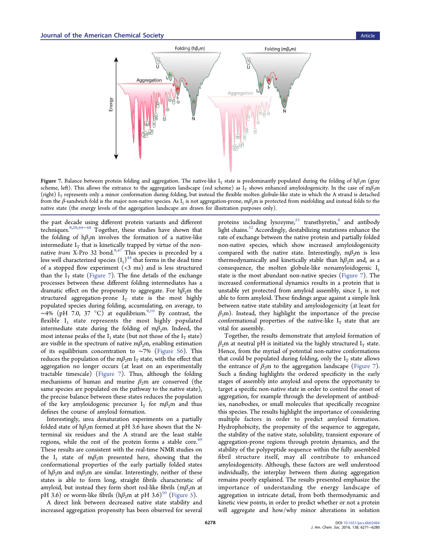<span id="page-8-0"></span>

Figure 7. Balance between protein folding and aggregation. The native-like I<sub>T</sub> state is predominantly populated during the folding of h $\beta_2$ m (gray scheme, left). This allows the entrance to the aggregation landscape (red scheme) as  $I_T$  shows enhanced amyloidogenicity. In the case of m $\beta_2$ m (right)  $I_T$  represents only a minor conformation during folding, but instead the flexible molten globule-like state in which the A strand is detached from the β-sandwich fold is the major non-native species. As I<sub>1</sub> is not aggregation-prone, mβ<sub>2</sub>m is protected from misfolding and instead folds to the native state (the energy levels of the aggergation landscape are drawn for illustration purposes only).

the past decade using different protein variants and different techniques. $9,28,44-48$  $9,28,44-48$  $9,28,44-48$  $9,28,44-48$  $9,28,44-48$  $9,28,44-48$  Together, these studies have shown that the folding of  $h\beta_2$ m involves the formation of a native-like intermediate  $I_T$  that is kinetically trapped by virtue of the non-native trans X-Pro 32 bond.<sup>9[,47](#page-9-0)</sup> This species is preceded by a less well characterized species  $(I_1)^{44}$  $(I_1)^{44}$  $(I_1)^{44}$  that forms in the dead time of a stopped flow experiment  $( $3 \text{ ms}$ )$  and is less structured than the  $I_T$  state ([Figure 7](#page-7-0)). The fine details of the exchange processes between these different folding intermediates has a dramatic effect on the propensity to aggregate. For  $h\beta_2$ m the structured aggregation-prone  $I_T$  state is the most highly populated species during folding, accumulating, on average, to  $\sim$ 4% (pH 7.0, 37 °C) at equilibrium.<sup>9,10</sup> By contrast, the flexible  $I_1$  state represents the most highly populated intermediate state during the folding of m $\beta_2$ m. Indeed, the most intense peaks of the  $I_1$  state (but not those of the  $I_T$  state) are visible in the spectrum of native m $\beta_2$ m, enabling estimation of its equilibrium concentration to ∼7% ([Figure S6](http://pubs.acs.org/doi/suppl/10.1021/jacs.6b02464/suppl_file/ja6b02464_si_001.pdf)). This reduces the population of the m $\beta_2$ m I<sub>T</sub> state, with the effect that aggregation no longer occurs (at least on an experimentally tractable timescale) [\(Figure 7](#page-7-0)). Thus, although the folding mechanisms of human and murine  $\beta_2$ m are conserved (the same species are populated on the pathway to the native state), the precise balance between these states reduces the population of the key amyloidogenic precursor  $I_T$  for m $\beta_2$ m and thus defines the course of amyloid formation.

Interestingly, urea denaturation experiments on a partially folded state of  $h\beta_2$ m formed at pH 3.6 have shown that the Nterminal six residues and the A strand are the least stable regions, while the rest of the protein forms a stable core.<sup>[49](#page-9-0)</sup> These results are consistent with the real-time NMR studies on the  $I_1$  state of m $\beta_2$ m presented here, showing that the conformational properties of the early partially folded states of h $\beta_2$ m and m $\beta_2$ m are similar. Interestingly, neither of these states is able to form long, straight fibrils characteristic of amyloid, but instead they form short rod-like fibrils  $(m\beta_2m$  at pH 3.6) or worm-like fibrils (h $\beta_2$ m at pH 3.6)<sup>[50](#page-9-0)</sup> ([Figure 5](#page-6-0)).

A direct link between decreased native state stability and increased aggregation propensity has been observed for several

proteins including lysozyme, $51$  transthyretin, $6$  and antibody light chains.<sup>[52](#page-9-0)</sup> Accordingly, destabilizing mutations enhance the rate of exchange between the native protein and partially folded non-native species, which show increased amyloidogenicity compared with the native state. Interestingly,  $m\beta_2 m$  is less thermodynamically and kinetically stable than  $h\beta_2$ m and, as a consequence, the molten globule-like nonamyloidogenic  $I_1$ state is the most abundant non-native species ([Figure 7\)](#page-7-0). The increased conformational dynamics results in a protein that is unstable yet protected from amyloid assembly, since  $I_1$  is not able to form amyloid. These findings argue against a simple link between native state stability and amyloidogenicity (at least for  $\beta_2$ m). Instead, they highlight the importance of the precise conformational properties of the native-like  $I_T$  state that are vital for assembly.

Together, the results demonstrate that amyloid formation of  $\beta_2$ m at neutral pH is initiated via the highly structured I<sub>T</sub> state. Hence, from the myriad of potential non-native conformations that could be populated during folding, only the  $I_T$  state allows the entrance of  $\beta_2$ m to the aggregation landscape ([Figure 7\)](#page-7-0). Such a finding highlights the ordered specificity in the early stages of assembly into amyloid and opens the opportunity to target a specific non-native state in order to control the onset of aggregation, for example through the development of antibodies, nanobodies, or small molecules that specifically recognize this species. The results highlight the importance of considering multiple factors in order to predict amyloid formation. Hydrophobicity, the propensity of the sequence to aggregate, the stability of the native state, solubility, transient exposure of aggregation-prone regions through protein dynamics, and the stability of the polypeptide sequence within the fully assembled fibril structure itself, may all contribute to enhanced amyloidogenicity. Although, these factors are well understood individually, the interplay between them during aggregation remains poorly explained. The results presented emphasize the importance of understanding the energy landscape of aggregation in intricate detail, from both thermodynamic and kinetic view points, in order to predict whether or not a protein will aggregate and how/why minor alterations in solution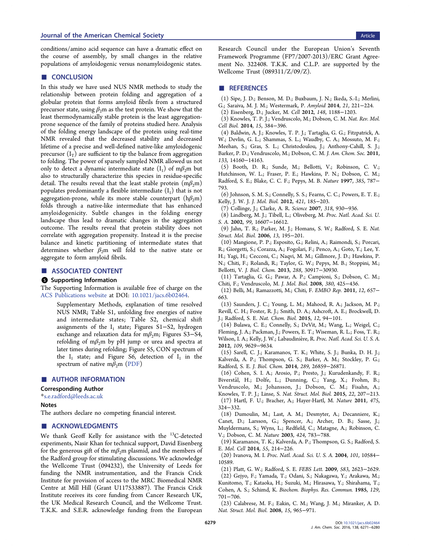<span id="page-9-0"></span>conditions/amino acid sequence can have a dramatic effect on the course of assembly, by small changes in the relative populations of amyloidogenic versus nonamyloidogenic states.

#### ■ CONCLUSION

In this study we have used NUS NMR methods to study the relationship between protein folding and aggregation of a globular protein that forms amyloid fibrils from a structured precursor state, using  $\beta_2$ m as the test protein. We show that the least thermodynamically stable protein is the least aggregationprone sequence of the family of proteins studied here. Analysis of the folding energy landscape of the protein using real-time NMR revealed that the decreased stability and decreased lifetime of a precise and well-defined native-like amyloidogenic precursor  $(I_T)$  are sufficient to tip the balance from aggregation to folding. The power of sparsely sampled NMR allowed us not only to detect a dynamic intermediate state  $\rm (I_{1})$  of  $\rm m\beta_{2}m$  but also to structurally characterize this species in residue-specific detail. The results reveal that the least stable protein  $(m\beta_2m)$ populates predominantly a flexible intermediate  $(I_1)$  that is not aggregation-prone, while its more stable counterpart  $(h\beta_2m)$ folds through a native-like intermediate that has enhanced amyloidogenicity. Subtle changes in the folding energy landscape thus lead to dramatic changes in the aggregation outcome. The results reveal that protein stability does not correlate with aggregation propensity. Instead it is the precise balance and kinetic partitioning of intermediate states that determines whether  $\beta_2$ m will fold to the native state or aggregate to form amyloid fibrils.

#### ■ ASSOCIATED CONTENT

#### **S** Supporting Information

The Supporting Information is available free of charge on the [ACS Publications website](http://pubs.acs.org) at DOI: [10.1021/jacs.6b02464](http://pubs.acs.org/doi/abs/10.1021/jacs.6b02464).

Supplementary Methods, explanation of time resolved NUS NMR; Table S1, unfolding free energies of native and intermediate states; Table S2, chemical shift assignments of the I<sub>1</sub> state; Figures S1–S2, hydrogen exchange and relaxation data for m $\beta_2$ m; Figures S3–S4, refolding of m $\beta_2$ m by pH jump or urea and spectra at later times during refolding; Figure S5, CON spectrum of the  $I_1$  state; and Figure S6, detection of  $I_1$  in the spectrum of native m $\beta_2$ m ([PDF\)](http://pubs.acs.org/doi/suppl/10.1021/jacs.6b02464/suppl_file/ja6b02464_si_001.pdf)

#### ■ AUTHOR INFORMATION

Corresponding Author

\*[s.e.radford@leeds.ac.uk](mailto:s.e.radford@leeds.ac.uk)

#### Notes

The authors declare no competing financial interest. ■ ACKNOWLEDGMENTS

We thank Geoff Kelly for assistance with the <sup>13</sup>C-detected experiments, Nasir Khan for technical support, David Eisenberg for the generous gift of the m $\beta_2$ m plasmid, and the members of the Radford group for stimulating discussions. We acknowledge the Wellcome Trust (094232), the University of Leeds for funding the NMR instrumentation, and the Francis Crick Institute for provision of access to the MRC Biomedical NMR Centre at Mill Hill (Grant U117533887). The Francis Crick Institute receives its core funding from Cancer Research UK, the UK Medical Research Council, and the Wellcome Trust. T.K.K. and S.E.R. acknowledge funding from the European

Research Council under the European Union's Seventh

Framework Programme (FP7/2007-2013)/ERC Grant Agreement No. 322408. T.K.K. and C.L.P. are supported by the Wellcome Trust (089311/Z/09/Z).

#### ■ REFERENCES

(1) Sipe, J. D.; Benson, M. D.; Buxbaum, J. N.; Ikeda, S.-I.; Merlini, G.; Saraiva, M. J. M.; Westermark, P. Amyloid 2014, 21, 221−224.

(2) Eisenberg, D.; Jucker, M. Cell 2012, 148, 1188−1203.

(3) Knowles, T. P. J.; Vendruscolo, M.; Dobson, C. M. Nat. Rev. Mol. Cell Biol. 2014, 15, 384−396.

(4) Baldwin, A. J.; Knowles, T. P. J.; Tartaglia, G. G.; Fitzpatrick, A. W.; Devlin, G. L.; Shammas, S. L.; Waudby, C. A.; Mossuto, M. F.; Meehan, S.; Gras, S. L.; Christodoulou, J.; Anthony-Cahill, S. J.; Barker, P. D.; Vendruscolo, M.; Dobson, C. M. J. Am. Chem. Soc. 2011, 133, 14160−14163.

(5) Booth, D. R.; Sunde, M.; Bellotti, V.; Robinson, C. V.; Hutchinson, W. L.; Fraser, P. E.; Hawkins, P. N.; Dobson, C. M.; Radford, S. E.; Blake, C. C. F.; Pepys, M. B. Nature 1997, 385, 787− 793.

(6) Johnson, S. M. S.; Connelly, S. S.; Fearns, C. C.; Powers, E. T. E.; Kelly, J. W. J. J. Mol. Biol. 2012, 421, 185−203.

(7) Collinge, J.; Clarke, A. R. Science 2007, 318, 930−936.

(8) Lindberg, M. J.; Tibell, L.; Oliveberg, M. Proc. Natl. Acad. Sci. U. S. A. 2002, 99, 16607−16612.

(9) Jahn, T. R.; Parker, M. J.; Homans, S. W.; Radford, S. E. Nat. Struct. Mol. Biol. 2006, 13, 195−201.

(10) Mangione, P. P.; Esposito, G.; Relini, A.; Raimondi, S.; Porcari, R.; Giorgetti, S.; Corazza, A.; Fogolari, F.; Penco, A.; Goto, Y.; Lee, Y. H.; Yagi, H.; Cecconi, C.; Naqvi, M. M.; Gillmore, J. D.; Hawkins, P. N.; Chiti, F.; Rolandi, R.; Taylor, G. W.; Pepys, M. B.; Stoppini, M.; Bellotti, V. J. Biol. Chem. 2013, 288, 30917−30930.

(11) Tartaglia, G. G.; Pawar, A. P.; Campioni, S.; Dobson, C. M.; Chiti, F.; Vendruscolo, M. J. Mol. Biol. 2008, 380, 425−436.

(12) Belli, M.; Ramazzotti, M.; Chiti, F. EMBO Rep. 2011, 12, 657− 663.

(13) Saunders, J. C.; Young, L. M.; Mahood, R. A.; Jackson, M. P.; Revill, C. H.; Foster, R. J.; Smith, D. A.; Ashcroft, A. E.; Brockwell, D. J.; Radford, S. E. Nat. Chem. Biol. 2015, 12, 94−101.

(14) Bulawa, C. E.; Connelly, S.; DeVit, M.; Wang, L.; Weigel, C.; Fleming, J. A.; Packman, J.; Powers, E. T.; Wiseman, R. L.; Foss, T. R.; Wilson, I. A.; Kelly, J. W.; Labaudinière, R. Proc. Natl. Acad. Sci. U. S. A. 2012, 109, 9629−9634.

(15) Sarell, C. J.; Karamanos, T. K.; White, S. J.; Bunka, D. H. J.; Kalverda, A. P.; Thompson, G. S.; Barker, A. M.; Stockley, P. G.; Radford, S. E. J. Biol. Chem. 2014, 289, 26859−26871.

(16) Cohen, S. I. A.; Arosio, P.; Presto, J.; Kurudenkandy, F. R.; Biverstål, H.; Dolfe, L.; Dunning, C.; Yang, X.; Frohm, B.; Vendruscolo, M.; Johansson, J.; Dobson, C. M.; Fisahn, A.; Knowles, T. P. J.; Linse, S. Nat. Struct. Mol. Biol. 2015, 22, 207−213. (17) Hartl, F. U.; Bracher, A.; Hayer-Hartl, M. Nature 2011, 475, 324−332.

(18) Dumoulin, M.; Last, A. M.; Desmyter, A.; Decanniere, K.; Canet, D.; Larsson, G.; Spencer, A.; Archer, D. B.; Sasse, J.; Muyldermans, S.; Wyns, L.; Redfield, C.; Matagne, A.; Robinson, C. V.; Dobson, C. M. Nature 2003, 424, 783−788.

(19) Karamanos, T. K.; Kalverda, A. P.; Thompson, G. S.; Radford, S. E. Mol. Cell 2014, 55, 214−226.

(20) Ivanova, M. I. Proc. Natl. Acad. Sci. U. S. A. 2004, 101, 10584− 10589.

(21) Platt, G. W.; Radford, S. E. FEBS Lett. 2009, 583, 2623−2629. (22) Gejyo, F.; Yamada, T.; Odani, S.; Nakagawa, Y.; Arakawa, M.; Kunitomo, T.; Kataoka, H.; Suzuki, M.; Hirasawa, Y.; Shirahama, T.; Cohen, A. S.; Schimd, K. Biochem. Biophys. Res. Commun. 1985, 129, 701−706.

(23) Calabrese, M. F.; Eakin, C. M.; Wang, J. M.; Miranker, A. D. Nat. Struct. Mol. Biol. 2008, 15, 965−971.